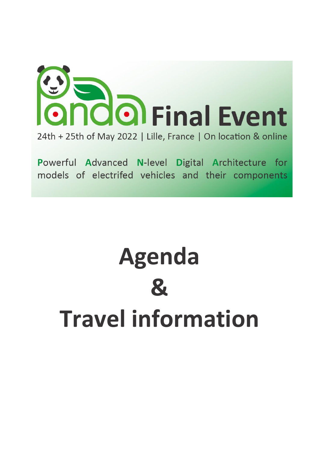

Powerful Advanced N-level Digital Architecture for models of electrifed vehicles and their components

# **Agenda & Travel information**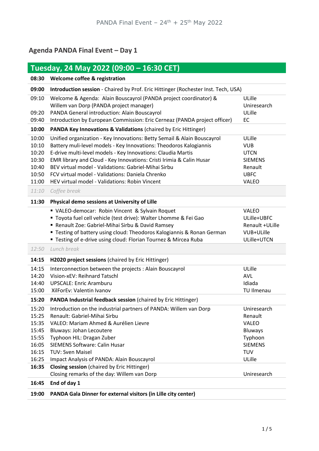# **Agenda PANDA Final Event – Day 1**

| Tuesday, 24 May 2022 (09:00 - 16:30 CET)                                      |                                                                                                                                                                                                                                                                                                                                                                                                                                                                     |                                                                                                               |  |
|-------------------------------------------------------------------------------|---------------------------------------------------------------------------------------------------------------------------------------------------------------------------------------------------------------------------------------------------------------------------------------------------------------------------------------------------------------------------------------------------------------------------------------------------------------------|---------------------------------------------------------------------------------------------------------------|--|
| 08:30                                                                         | Welcome coffee & registration                                                                                                                                                                                                                                                                                                                                                                                                                                       |                                                                                                               |  |
| 09:00                                                                         | Introduction session - Chaired by Prof. Eric Hittinger (Rochester Inst. Tech, USA)                                                                                                                                                                                                                                                                                                                                                                                  |                                                                                                               |  |
| 09:10<br>09:20<br>09:40                                                       | Welcome & Agenda: Alain Bouscayrol (PANDA project coordinator) &<br>Willem van Dorp (PANDA project manager)<br>PANDA General introduction: Alain Bouscayrol<br>Introduction by European Commission: Eric Cerneaz (PANDA project officer)                                                                                                                                                                                                                            | ULille<br>Uniresearch<br>ULille<br>EC                                                                         |  |
| 10:00                                                                         | <b>PANDA Key Innovations &amp; Validations (chaired by Eric Hittinger)</b>                                                                                                                                                                                                                                                                                                                                                                                          |                                                                                                               |  |
| 10:00<br>10:10<br>10:20<br>10:30<br>10:40<br>10:50<br>11:00<br>11:10          | Unified organization - Key Innovations: Betty Semail & Alain Bouscayrol<br>Battery muli-level models - Key Innovations: Theodoros Kalogiannis<br>E-drive multi-level models - Key Innovations: Claudia Martis<br>EMR library and Cloud - Key Innovations: Cristi Irimia & Calin Husar<br>BEV virtual model - Validations: Gabriel-Mihai Sirbu<br>FCV virtual model - Validations: Daniela Chrenko<br>HEV virtual model - Validations: Robin Vincent<br>Coffee break | ULille<br><b>VUB</b><br><b>UTCN</b><br><b>SIEMENS</b><br>Renault<br><b>UBFC</b><br><b>VALEO</b>               |  |
| 11:30                                                                         | Physical demo sessions at University of Lille                                                                                                                                                                                                                                                                                                                                                                                                                       |                                                                                                               |  |
|                                                                               | VALEO-democar: Robin Vincent & Sylvain Roquet<br>" Toyota fuel cell vehicle (test drive): Walter Lhomme & Fei Gao<br>Renault Zoe: Gabriel-Mihai Sirbu & David Ramsey<br>" Testing of battery using cloud: Theodoros Kalogiannis & Ronan German<br>" Testing of e-drive using cloud: Florian Tournez & Mircea Ruba                                                                                                                                                   | <b>VALEO</b><br>ULille+UBFC<br>Renault +ULille<br>VUB+ULille<br>ULille+UTCN                                   |  |
| 12:50                                                                         | Lunch break                                                                                                                                                                                                                                                                                                                                                                                                                                                         |                                                                                                               |  |
| 14:15                                                                         | H2020 project sessions (chaired by Eric Hittinger)                                                                                                                                                                                                                                                                                                                                                                                                                  |                                                                                                               |  |
| 14:15<br>14:20<br>14:40<br>15:00                                              | Interconnection between the projects : Alain Bouscayrol<br>Vision-xEV: Reihnard Tatschl<br><b>UPSCALE: Enric Aramburu</b><br>XilForEv: Valentin Ivanov                                                                                                                                                                                                                                                                                                              | ULille<br><b>AVL</b><br>Idiada<br><b>TU Ilmenau</b>                                                           |  |
| 15:20                                                                         | <b>PANDA Industrial feedback session (chaired by Eric Hittinger)</b>                                                                                                                                                                                                                                                                                                                                                                                                |                                                                                                               |  |
| 15:20<br>15:25<br>15:35<br>15:45<br>15:55<br>16:05<br>16:15<br>16:25<br>16:35 | Introduction on the industrial partners of PANDA: Willem van Dorp<br>Renault: Gabriel-Mihai Sirbu<br>VALEO: Mariam Ahmed & Aurélien Lievre<br>Bluways: Johan Lecoutere<br>Typhoon HIL: Dragan Zuber<br><b>SIEMENS Software: Calin Husar</b><br><b>TUV: Sven Maisel</b><br>Impact Analysis of PANDA: Alain Bouscayrol<br><b>Closing session</b> (chaired by Eric Hittinger)                                                                                          | Uniresearch<br>Renault<br><b>VALEO</b><br><b>Bluways</b><br>Typhoon<br><b>SIEMENS</b><br><b>TUV</b><br>ULille |  |
| 16:45                                                                         | Closing remarks of the day: Willem van Dorp<br>End of day 1                                                                                                                                                                                                                                                                                                                                                                                                         | Uniresearch                                                                                                   |  |
| 19:00                                                                         | PANDA Gala Dinner for external visitors (in Lille city center)                                                                                                                                                                                                                                                                                                                                                                                                      |                                                                                                               |  |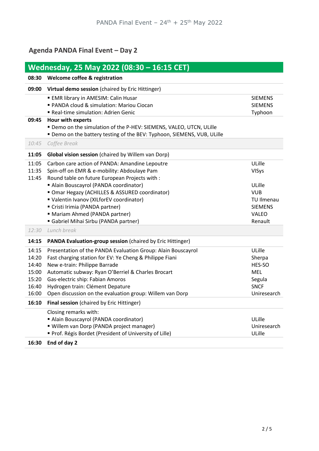# **Agenda PANDA Final Event – Day 2**

| Wednesday, 25 May 2022 (08:30 - 16:15 CET)                  |                                                                                                                                                                                                                                                                                                                                                    |                                                                                  |  |
|-------------------------------------------------------------|----------------------------------------------------------------------------------------------------------------------------------------------------------------------------------------------------------------------------------------------------------------------------------------------------------------------------------------------------|----------------------------------------------------------------------------------|--|
| 08:30                                                       | Welcome coffee & registration                                                                                                                                                                                                                                                                                                                      |                                                                                  |  |
| 09:00                                                       | Virtual demo session (chaired by Eric Hittinger)                                                                                                                                                                                                                                                                                                   |                                                                                  |  |
|                                                             | <b>EMR library in AMESIM: Calin Husar</b><br>" PANDA cloud & simulation: Mariou Ciocan<br>Real-time simulation: Adrien Genic                                                                                                                                                                                                                       | <b>SIEMENS</b><br><b>SIEMENS</b><br>Typhoon                                      |  |
| 09:45                                                       | Hour with experts<br>" Demo on the simulation of the P-HEV: SIEMENS, VALEO, UTCN, ULille<br>" Demo on the battery testing of the BEV: Typhoon, SIEMENS, VUB, ULille                                                                                                                                                                                |                                                                                  |  |
| 10:45                                                       | Coffee Break                                                                                                                                                                                                                                                                                                                                       |                                                                                  |  |
| 11:05                                                       | <b>Global vision session</b> (chaired by Willem van Dorp)                                                                                                                                                                                                                                                                                          |                                                                                  |  |
| 11:05<br>11:35<br>11:45                                     | Carbon care action of PANDA: Amandine Lepoutre<br>Spin-off on EMR & e-mobility: Abdoulaye Pam<br>Round table on future European Projects with :                                                                                                                                                                                                    | ULille<br><b>VISys</b>                                                           |  |
|                                                             | Alain Bouscayrol (PANDA coordinator)<br>" Omar Hegazy (ACHILLES & ASSURED coordinator)<br>Ualentin Ivanov (XILforEV coordinator)<br>" Cristi Irimia (PANDA partner)<br>" Mariam Ahmed (PANDA partner)<br>Gabriel Mihai Sirbu (PANDA partner)                                                                                                       | ULille<br><b>VUB</b><br>TU Ilmenau<br><b>SIEMENS</b><br><b>VALEO</b><br>Renault  |  |
| 12:30                                                       | Lunch break                                                                                                                                                                                                                                                                                                                                        |                                                                                  |  |
| 14:15                                                       | PANDA Evaluation-group session (chaired by Eric Hittinger)                                                                                                                                                                                                                                                                                         |                                                                                  |  |
| 14:15<br>14:20<br>14:40<br>15:00<br>15:20<br>16:40<br>16:00 | Presentation of the PANDA Evaluation Group: Alain Bouscayrol<br>Fast charging station for EV: Ye Cheng & Philippe Fiani<br>New e-train: Philippe Barrade<br>Automatic subway: Ryan O'Berriel & Charles Brocart<br>Gas-electric ship: Fabian Amoros<br>Hydrogen train: Clément Depature<br>Open discussion on the evaluation group: Willem van Dorp | ULille<br>Sherpa<br>HES-SO<br><b>MEL</b><br>Segula<br><b>SNCF</b><br>Uniresearch |  |
| 16:10                                                       | Final session (chaired by Eric Hittinger)                                                                                                                                                                                                                                                                                                          |                                                                                  |  |
| 16:30                                                       | Closing remarks with:<br>Alain Bouscayrol (PANDA coordinator)<br>" Willem van Dorp (PANDA project manager)<br>Prof. Régis Bordet (President of University of Lille)<br>End of day 2                                                                                                                                                                | ULille<br>Uniresearch<br>ULille                                                  |  |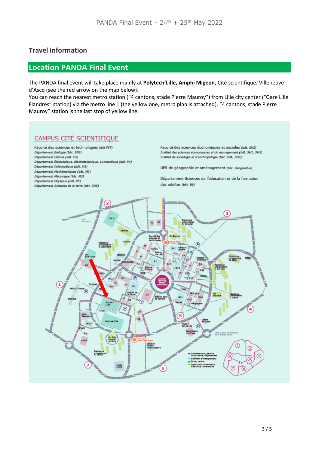#### **Travel information**

## **Location PANDA Final Event**

The PANDA final event will take place mainly at **Polytech'Lille, Amphi Migeon**, Cité scientifique, Villeneuve d'Ascq (see the red arrow on the map below).

You can reach the nearest metro station ("4 cantons, stade Pierre Mauroy") from Lille city center ("Gare Lille Flandres" station) via the metro line 1 (the yellow one, metro plan is attached). "4 cantons, stade Pierre Mauroy" station is the last stop of yellow line.

## CAMPUS CITÉ SCIENTIFIQUE

Faculté des sciences et technologies (bât FST) Département Biologie (bât. SN3) Département Chimie (bât. C5) Département Électronique, électrotechnique, automatique (bât. P4) Département Informatique (bât. M3) Département Mathématiques (bât. M2) Département Mécanique (bât. M3) Département Physique (bât. P5) Département Sciences de la terre (bât. SN5)

Faculté des sciences économiques et sociales (båt. SH2) Institut des sciences économiques et du management (bât. SH1, SH3) Institut de sociologie et d'anthropologie (bât. SH1, SH3)

UFR de géographie et aménagement (bât. Géographie)

Département Sciences de l'éducation et de la formation des adultes (bát. B6)

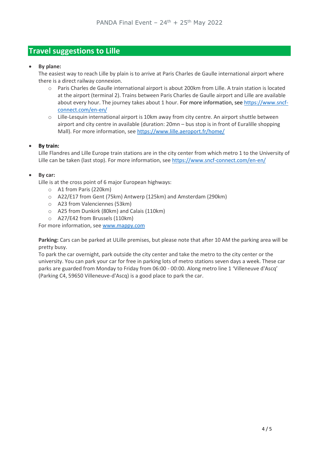## **Travel suggestions to Lille**

#### • **By plane:**

The easiest way to reach Lille by plain is to arrive at Paris Charles de Gaulle international airport where there is a direct railway connexion.

- o Paris Charles de Gaulle international airport is about 200km from Lille. A train station is located at the airport (terminal 2). Trains between Paris Charles de Gaulle airport and Lille are available about every hour. The journey takes about 1 hour. For more information, see [https://www.sncf](https://www.sncf-connect.com/en-en/)[connect.com/en-en/](https://www.sncf-connect.com/en-en/)
- o Lille-Lesquin international airport is 10km away from city centre. An airport shuttle between airport and city centre in available (duration: 20mn – bus stop is in front of Euralille shopping Mall). For more information, see<https://www.lille.aeroport.fr/home/>

#### • **By train:**

Lille Flandres and Lille Europe train stations are in the city center from which metro 1 to the University of Lille can be taken (last stop). For more information, see<https://www.sncf-connect.com/en-en/>

#### • **By car:**

Lille is at the cross point of 6 major European highways:

- o A1 from Paris (220km)
- o A22/E17 from Gent (75km) Antwerp (125km) and Amsterdam (290km)
- o A23 from Valenciennes (53km)
- o A25 from Dunkirk (80km) and Calais (110km)
- o A27/E42 from Brussels (110km)

For more information, se[e www.mappy.com](http://www.mappy.com/)

**Parking:** Cars can be parked at ULille premises, but please note that after 10 AM the parking area will be pretty busy.

To park the car overnight, park outside the city center and take the metro to the city center or the university. You can park your car for free in parking lots of metro stations seven days a week. These car parks are guarded from Monday to Friday from 06:00 - 00:00. Along metro line 1 'Villeneuve d'Ascq' (Parking C4, 59650 Villeneuve-d'Ascq) is a good place to park the car.